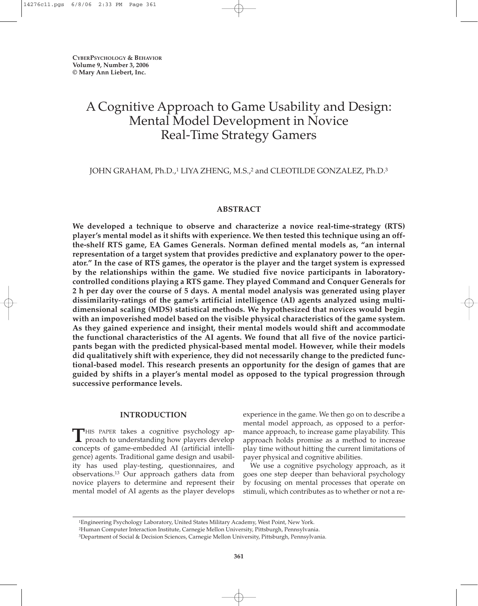# A Cognitive Approach to Game Usability and Design: Mental Model Development in Novice Real-Time Strategy Gamers

JOHN GRAHAM, Ph.D.,<sup>1</sup> LIYA ZHENG, M.S.,<sup>2</sup> and CLEOTILDE GONZALEZ, Ph.D.<sup>3</sup>

# **ABSTRACT**

**We developed a technique to observe and characterize a novice real-time-strategy (RTS) player's mental model as it shifts with experience. We then tested this technique using an offthe-shelf RTS game, EA Games Generals. Norman defined mental models as, "an internal representation of a target system that provides predictive and explanatory power to the operator." In the case of RTS games, the operator is the player and the target system is expressed by the relationships within the game. We studied five novice participants in laboratorycontrolled conditions playing a RTS game. They played Command and Conquer Generals for 2 h per day over the course of 5 days. A mental model analysis was generated using player dissimilarity-ratings of the game's artificial intelligence (AI) agents analyzed using multidimensional scaling (MDS) statistical methods. We hypothesized that novices would begin with an impoverished model based on the visible physical characteristics of the game system. As they gained experience and insight, their mental models would shift and accommodate the functional characteristics of the AI agents. We found that all five of the novice participants began with the predicted physical-based mental model. However, while their models did qualitatively shift with experience, they did not necessarily change to the predicted functional-based model. This research presents an opportunity for the design of games that are guided by shifts in a player's mental model as opposed to the typical progression through successive performance levels.**

# **INTRODUCTION**

**T**HIS PAPER takes a cognitive psychology approach to understanding how players develop concepts of game-embedded AI (artificial intelligence) agents. Traditional game design and usability has used play-testing, questionnaires, and observations.13 Our approach gathers data from novice players to determine and represent their mental model of AI agents as the player develops experience in the game. We then go on to describe a mental model approach, as opposed to a performance approach, to increase game playability. This approach holds promise as a method to increase play time without hitting the current limitations of payer physical and cognitive abilities.

We use a cognitive psychology approach, as it goes one step deeper than behavioral psychology by focusing on mental processes that operate on stimuli, which contributes as to whether or not a re-

<sup>1</sup>Engineering Psychology Laboratory, United States Military Academy, West Point, New York.

<sup>2</sup>Human Computer Interaction Institute, Carnegie Mellon University, Pittsburgh, Pennsylvania.

<sup>3</sup>Department of Social & Decision Sciences, Carnegie Mellon University, Pittsburgh, Pennsylvania.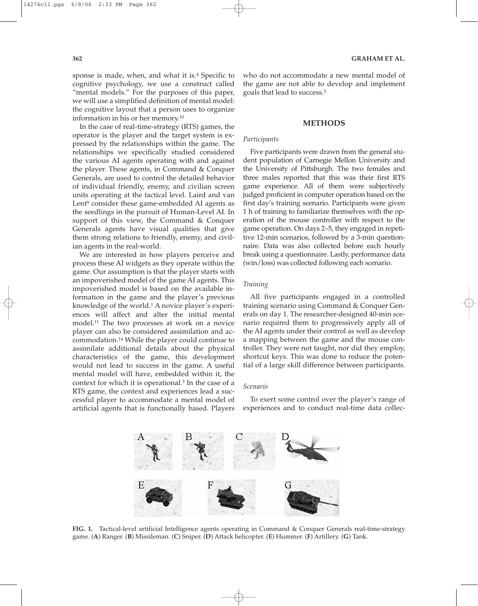sponse is made, when, and what it is.4 Specific to cognitive psychology, we use a construct called "mental models." For the purposes of this paper, we will use a simplified definition of mental model: the cognitive layout that a person uses to organize information in his or her memory.10

In the case of real-time-strategy (RTS) games, the operator is the player and the target system is expressed by the relationships within the game. The relationships we specifically studied considered the various AI agents operating with and against the player. These agents, in Command & Conquer Generals, are used to control the detailed behavior of individual friendly, enemy, and civilian screen units operating at the tactical level. Laird and van Lent<sup>9</sup> consider these game-embedded AI agents as the seedlings in the pursuit of Human-Level AI. In support of this view, the Command & Conquer Generals agents have visual qualities that give them strong relations to friendly, enemy, and civilian agents in the real-world.

We are interested in how players perceive and process these AI widgets as they operate within the game. Our assumption is that the player starts with an impoverished model of the game AI agents. This impoverished model is based on the available information in the game and the player's previous knowledge of the world.<sup>1</sup> A novice player's experiences will affect and alter the initial mental model.11 The two processes at work on a novice player can also be considered assimilation and accommodation.14 While the player could continue to assimilate additional details about the physical characteristics of the game, this development would not lead to success in the game. A useful mental model will have, embedded within it, the context for which it is operational.3 In the case of a RTS game, the context and experiences lead a successful player to accommodate a mental model of artificial agents that is functionally based. Players

who do not accommodate a new mental model of the game are not able to develop and implement goals that lead to success.5

## **METHODS**

#### *Participants*

Five participants were drawn from the general student population of Carnegie Mellon University and the University of Pittsburgh. The two females and three males reported that this was their first RTS game experience. All of them were subjectively judged proficient in computer operation based on the first day's training scenario. Participants were given 1 h of training to familiarize themselves with the operation of the mouse controller with respect to the game operation. On days 2–5, they engaged in repetitive 12-min scenarios, followed by a 3-min questionnaire. Data was also collected before each hourly break using a questionnaire. Lastly, performance data (win/loss) was collected following each scenario.

#### *Training*

All five participants engaged in a controlled training scenario using Command & Conquer Generals on day 1. The researcher-designed 40-min scenario required them to progressively apply all of the AI agents under their control as well as develop a mapping between the game and the mouse controller. They were not taught, nor did they employ, shortcut keys. This was done to reduce the potential of a large skill difference between participants.

## *Scenario*

To exert some control over the player's range of experiences and to conduct real-time data collec-



**FIG. 1.** Tactical-level artificial Intelligence agents operating in Command & Conquer Generals real-time-strategy game. (**A**) Ranger. (**B**) Missileman. (**C**) Sniper. (**D**) Attack helicopter. (**E**) Hummer. (**F**) Artillery. (**G**) Tank.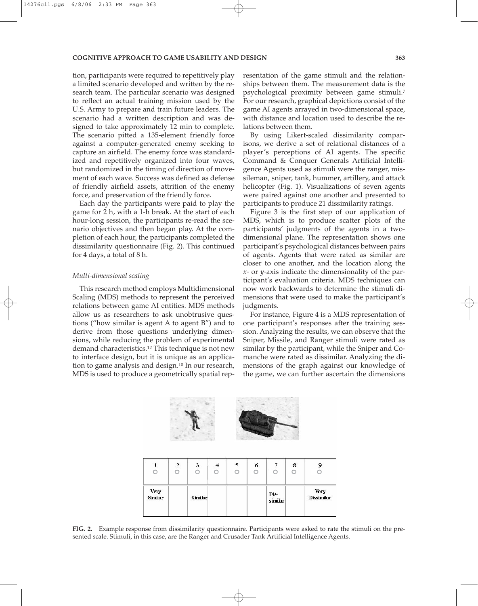#### **COGNITIVE APPROACH TO GAME USABILITY AND DESIGN 363**

tion, participants were required to repetitively play a limited scenario developed and written by the research team. The particular scenario was designed to reflect an actual training mission used by the U.S. Army to prepare and train future leaders. The scenario had a written description and was designed to take approximately 12 min to complete. The scenario pitted a 135-element friendly force against a computer-generated enemy seeking to capture an airfield. The enemy force was standardized and repetitively organized into four waves, but randomized in the timing of direction of movement of each wave. Success was defined as defense of friendly airfield assets, attrition of the enemy force, and preservation of the friendly force.

Each day the participants were paid to play the game for 2 h, with a 1-h break. At the start of each hour-long session, the participants re-read the scenario objectives and then began play. At the completion of each hour, the participants completed the dissimilarity questionnaire (Fig. 2). This continued for 4 days, a total of 8 h.

#### *Multi-dimensional scaling*

This research method employs Multidimensional Scaling (MDS) methods to represent the perceived relations between game AI entities. MDS methods allow us as researchers to ask unobtrusive questions ("how similar is agent A to agent B") and to derive from those questions underlying dimensions, while reducing the problem of experimental demand characteristics.12 This technique is not new to interface design, but it is unique as an application to game analysis and design.10 In our research, MDS is used to produce a geometrically spatial representation of the game stimuli and the relationships between them. The measurement data is the psychological proximity between game stimuli.7 For our research, graphical depictions consist of the game AI agents arrayed in two-dimensional space, with distance and location used to describe the relations between them.

By using Likert-scaled dissimilarity comparisons, we derive a set of relational distances of a player's perceptions of AI agents. The specific Command & Conquer Generals Artificial Intelligence Agents used as stimuli were the ranger, missileman, sniper, tank, hummer, artillery, and attack helicopter (Fig. 1). Visualizations of seven agents were paired against one another and presented to participants to produce 21 dissimilarity ratings.

Figure 3 is the first step of our application of MDS, which is to produce scatter plots of the participants' judgments of the agents in a twodimensional plane. The representation shows one participant's psychological distances between pairs of agents. Agents that were rated as similar are closer to one another, and the location along the *x*- or *y*-axis indicate the dimensionality of the participant's evaluation criteria. MDS techniques can now work backwards to determine the stimuli dimensions that were used to make the participant's judgments.

For instance, Figure 4 is a MDS representation of one participant's responses after the training session. Analyzing the results, we can observe that the Sniper, Missile, and Ranger stimuli were rated as similar by the participant, while the Sniper and Comanche were rated as dissimilar. Analyzing the dimensions of the graph against our knowledge of the game, we can further ascertain the dimensions



**FIG. 2.** Example response from dissimilarity questionnaire. Participants were asked to rate the stimuli on the presented scale. Stimuli, in this case, are the Ranger and Crusader Tank Artificial Intelligence Agents.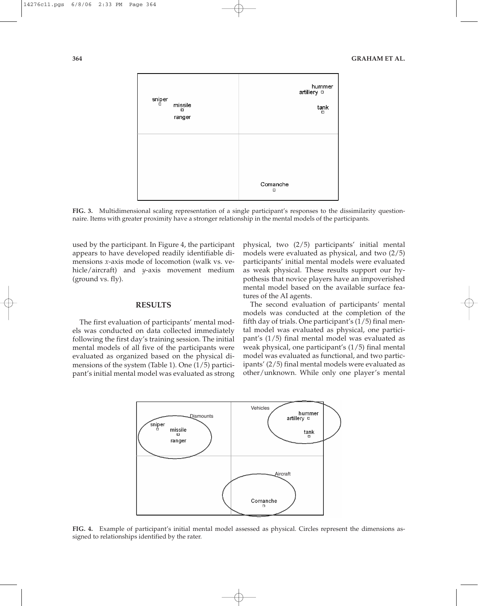

**FIG. 3.** Multidimensional scaling representation of a single participant's responses to the dissimilarity questionnaire. Items with greater proximity have a stronger relationship in the mental models of the participants.

used by the participant. In Figure 4, the participant appears to have developed readily identifiable dimensions *x*-axis mode of locomotion (walk vs. vehicle/aircraft) and *y*-axis movement medium (ground vs. fly).

## **RESULTS**

The first evaluation of participants' mental models was conducted on data collected immediately following the first day's training session. The initial mental models of all five of the participants were evaluated as organized based on the physical dimensions of the system (Table 1). One (1/5) participant's initial mental model was evaluated as strong

physical, two (2/5) participants' initial mental models were evaluated as physical, and two (2/5) participants' initial mental models were evaluated as weak physical. These results support our hypothesis that novice players have an impoverished mental model based on the available surface features of the AI agents.

The second evaluation of participants' mental models was conducted at the completion of the fifth day of trials. One participant's (1/5) final mental model was evaluated as physical, one participant's (1/5) final mental model was evaluated as weak physical, one participant's (1/5) final mental model was evaluated as functional, and two participants' (2/5) final mental models were evaluated as other/unknown. While only one player's mental



**FIG. 4.** Example of participant's initial mental model assessed as physical. Circles represent the dimensions assigned to relationships identified by the rater.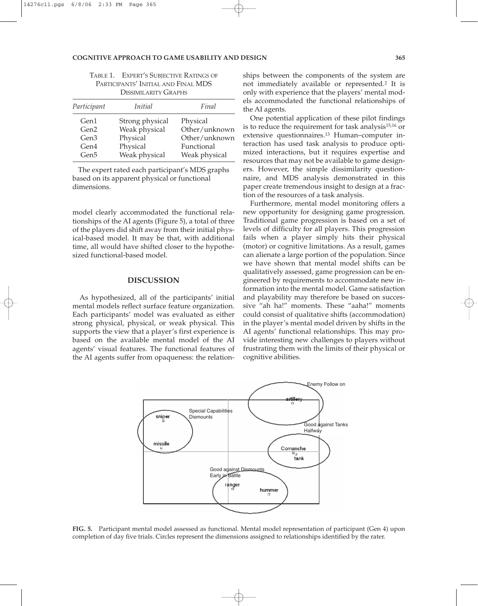#### **COGNITIVE APPROACH TO GAME USABILITY AND DESIGN 365**

| Participant      | <i>Initial</i>  | Final         |
|------------------|-----------------|---------------|
|                  |                 |               |
| Gen <sub>1</sub> | Strong physical | Physical      |
| Gen2             | Weak physical   | Other/unknown |
| Gen <sub>3</sub> | Physical        | Other/unknown |
| Gen4             | Physical        | Functional    |
| Gen <sub>5</sub> | Weak physical   | Weak physical |

| TABLE 1. EXPERT'S SUBJECTIVE RATINGS OF |
|-----------------------------------------|
| PARTICIPANTS' INITIAL AND FINAL MDS     |
| DISSIMILARITY GRAPHS                    |

The expert rated each participant's MDS graphs based on its apparent physical or functional dimensions.

model clearly accommodated the functional relationships of the AI agents (Figure 5), a total of three of the players did shift away from their initial physical-based model. It may be that, with additional time, all would have shifted closer to the hypothesized functional-based model.

# **DISCUSSION**

As hypothesized, all of the participants' initial mental models reflect surface feature organization. Each participants' model was evaluated as either strong physical, physical, or weak physical. This supports the view that a player's first experience is based on the available mental model of the AI agents' visual features. The functional features of the AI agents suffer from opaqueness: the relationships between the components of the system are not immediately available or represented.2 It is only with experience that the players' mental models accommodated the functional relationships of the AI agents.

One potential application of these pilot findings is to reduce the requirement for task analysis15,16 or extensive questionnaires.13 Human–computer interaction has used task analysis to produce optimized interactions, but it requires expertise and resources that may not be available to game designers. However, the simple dissimilarity questionnaire, and MDS analysis demonstrated in this paper create tremendous insight to design at a fraction of the resources of a task analysis.

Furthermore, mental model monitoring offers a new opportunity for designing game progression. Traditional game progression is based on a set of levels of difficulty for all players. This progression fails when a player simply hits their physical (motor) or cognitive limitations. As a result, games can alienate a large portion of the population. Since we have shown that mental model shifts can be qualitatively assessed, game progression can be engineered by requirements to accommodate new information into the mental model. Game satisfaction and playability may therefore be based on successive "ah ha!" moments. These "aaha!" moments could consist of qualitative shifts (accommodation) in the player's mental model driven by shifts in the AI agents' functional relationships. This may provide interesting new challenges to players without frustrating them with the limits of their physical or cognitive abilities.



**FIG. 5.** Participant mental model assessed as functional. Mental model representation of participant (Gen 4) upon completion of day five trials. Circles represent the dimensions assigned to relationships identified by the rater.